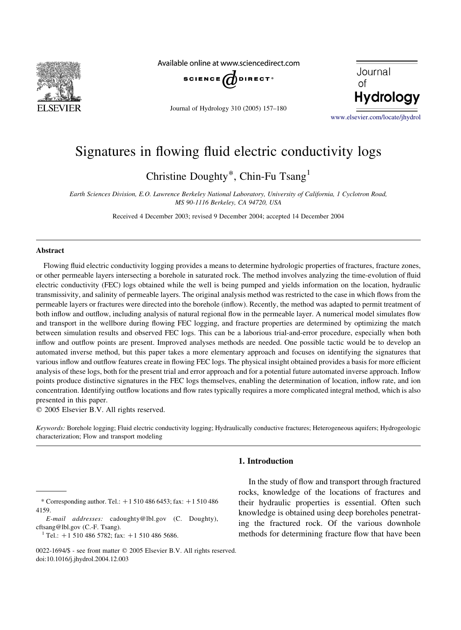

Available online at www.sciencedirect.com



Journal of Hydrology 310 (2005) 157–180



[www.elsevier.com/locate/jhydrol](http://www.elsevier.com/locate/jhydrol)

# Signatures in flowing fluid electric conductivity logs

Christine Doughty\*, Chin-Fu Tsang1

Earth Sciences Division, E.O. Lawrence Berkeley National Laboratory, University of California, 1 Cyclotron Road, MS 90-1116 Berkeley, CA 94720, USA

Received 4 December 2003; revised 9 December 2004; accepted 14 December 2004

### Abstract

Flowing fluid electric conductivity logging provides a means to determine hydrologic properties of fractures, fracture zones, or other permeable layers intersecting a borehole in saturated rock. The method involves analyzing the time-evolution of fluid electric conductivity (FEC) logs obtained while the well is being pumped and yields information on the location, hydraulic transmissivity, and salinity of permeable layers. The original analysis method was restricted to the case in which flows from the permeable layers or fractures were directed into the borehole (inflow). Recently, the method was adapted to permit treatment of both inflow and outflow, including analysis of natural regional flow in the permeable layer. A numerical model simulates flow and transport in the wellbore during flowing FEC logging, and fracture properties are determined by optimizing the match between simulation results and observed FEC logs. This can be a laborious trial-and-error procedure, especially when both inflow and outflow points are present. Improved analyses methods are needed. One possible tactic would be to develop an automated inverse method, but this paper takes a more elementary approach and focuses on identifying the signatures that various inflow and outflow features create in flowing FEC logs. The physical insight obtained provides a basis for more efficient analysis of these logs, both for the present trial and error approach and for a potential future automated inverse approach. Inflow points produce distinctive signatures in the FEC logs themselves, enabling the determination of location, inflow rate, and ion concentration. Identifying outflow locations and flow rates typically requires a more complicated integral method, which is also presented in this paper.

 $Q$  2005 Elsevier B.V. All rights reserved.

Keywords: Borehole logging; Fluid electric conductivity logging; Hydraulically conductive fractures; Heterogeneous aquifers; Hydrogeologic characterization; Flow and transport modeling

# 1. Introduction

In the study of flow and transport through fractured rocks, knowledge of the locations of fractures and their hydraulic properties is essential. Often such knowledge is obtained using deep boreholes penetrating the fractured rock. Of the various downhole methods for determining fracture flow that have been

<sup>\*</sup> Corresponding author. Tel.:  $+15104866453$ ; fax:  $+1510486$ 4159.

E-mail addresses: cadoughty@lbl.gov (C. Doughty), cftsang@lbl.gov (C.-F. Tsang).

<sup>&</sup>lt;sup>1</sup> Tel.: +1 510 486 5782; fax: +1 510 486 5686.

<sup>0022-1694/\$ -</sup> see front matter © 2005 Elsevier B.V. All rights reserved. doi:10.1016/j.jhydrol.2004.12.003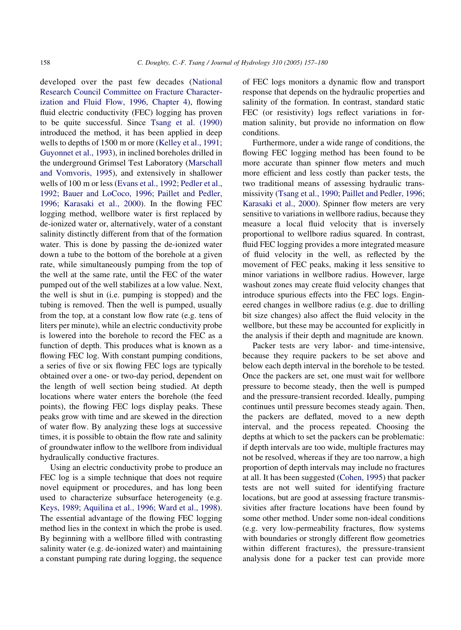developed over the past few decades ([National](#page-23-0) [Research Council Committee on Fracture Character](#page-23-0)[ization and Fluid Flow, 1996, Chapter 4](#page-23-0)), flowing fluid electric conductivity (FEC) logging has proven to be quite successful. Since [Tsang et al. \(1990\)](#page-23-0) introduced the method, it has been applied in deep wells to depths of 1500 m or more [\(Kelley et al., 1991;](#page-23-0) [Guyonnet et al., 1993\)](#page-23-0), in inclined boreholes drilled in the underground Grimsel Test Laboratory ([Marschall](#page-23-0) [and Vomvoris, 1995\)](#page-23-0), and extensively in shallower wells of 100 m or less ([Evans et al., 1992; Pedler et al.,](#page-23-0) [1992; Bauer and LoCoco, 1996; Paillet and Pedler,](#page-23-0) [1996; Karasaki et al., 2000](#page-23-0)). In the flowing FEC logging method, wellbore water is first replaced by de-ionized water or, alternatively, water of a constant salinity distinctly different from that of the formation water. This is done by passing the de-ionized water down a tube to the bottom of the borehole at a given rate, while simultaneously pumping from the top of the well at the same rate, until the FEC of the water pumped out of the well stabilizes at a low value. Next, the well is shut in (i.e. pumping is stopped) and the tubing is removed. Then the well is pumped, usually from the top, at a constant low flow rate (e.g. tens of liters per minute), while an electric conductivity probe is lowered into the borehole to record the FEC as a function of depth. This produces what is known as a flowing FEC log. With constant pumping conditions, a series of five or six flowing FEC logs are typically obtained over a one- or two-day period, dependent on the length of well section being studied. At depth locations where water enters the borehole (the feed points), the flowing FEC logs display peaks. These peaks grow with time and are skewed in the direction of water flow. By analyzing these logs at successive times, it is possible to obtain the flow rate and salinity of groundwater inflow to the wellbore from individual hydraulically conductive fractures.

Using an electric conductivity probe to produce an FEC log is a simple technique that does not require novel equipment or procedures, and has long been used to characterize subsurface heterogeneity (e.g. [Keys, 1989; Aquilina et al., 1996; Ward et al., 1998\)](#page-23-0). The essential advantage of the flowing FEC logging method lies in the context in which the probe is used. By beginning with a wellbore filled with contrasting salinity water (e.g. de-ionized water) and maintaining a constant pumping rate during logging, the sequence of FEC logs monitors a dynamic flow and transport response that depends on the hydraulic properties and salinity of the formation. In contrast, standard static FEC (or resistivity) logs reflect variations in formation salinity, but provide no information on flow conditions.

Furthermore, under a wide range of conditions, the flowing FEC logging method has been found to be more accurate than spinner flow meters and much more efficient and less costly than packer tests, the two traditional means of assessing hydraulic transmissivity ([Tsang et al., 1990; Paillet and Pedler, 1996;](#page-23-0) [Karasaki et al., 2000](#page-23-0)). Spinner flow meters are very sensitive to variations in wellbore radius, because they measure a local fluid velocity that is inversely proportional to wellbore radius squared. In contrast, fluid FEC logging provides a more integrated measure of fluid velocity in the well, as reflected by the movement of FEC peaks, making it less sensitive to minor variations in wellbore radius. However, large washout zones may create fluid velocity changes that introduce spurious effects into the FEC logs. Engineered changes in wellbore radius (e.g. due to drilling bit size changes) also affect the fluid velocity in the wellbore, but these may be accounted for explicitly in the analysis if their depth and magnitude are known.

Packer tests are very labor- and time-intensive, because they require packers to be set above and below each depth interval in the borehole to be tested. Once the packers are set, one must wait for wellbore pressure to become steady, then the well is pumped and the pressure-transient recorded. Ideally, pumping continues until pressure becomes steady again. Then, the packers are deflated, moved to a new depth interval, and the process repeated. Choosing the depths at which to set the packers can be problematic: if depth intervals are too wide, multiple fractures may not be resolved, whereas if they are too narrow, a high proportion of depth intervals may include no fractures at all. It has been suggested [\(Cohen, 1995\)](#page-22-0) that packer tests are not well suited for identifying fracture locations, but are good at assessing fracture transmissivities after fracture locations have been found by some other method. Under some non-ideal conditions (e.g. very low-permeability fractures, flow systems with boundaries or strongly different flow geometries within different fractures), the pressure-transient analysis done for a packer test can provide more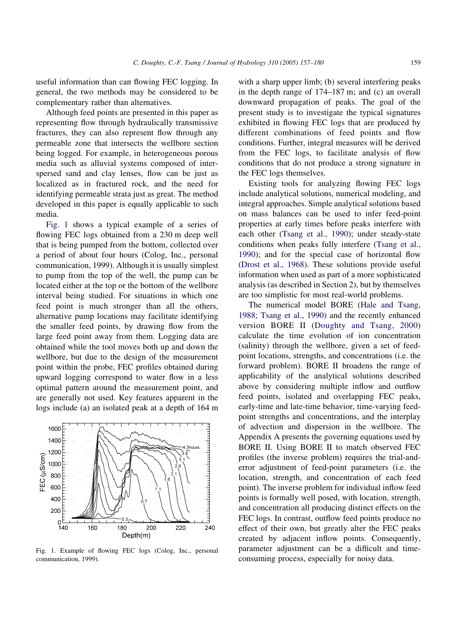<span id="page-2-0"></span>useful information than can flowing FEC logging. In general, the two methods may be considered to be complementary rather than alternatives.

Although feed points are presented in this paper as representing flow through hydraulically transmissive fractures, they can also represent flow through any permeable zone that intersects the wellbore section being logged. For example, in heterogeneous porous media such as alluvial systems composed of interspersed sand and clay lenses, flow can be just as localized as in fractured rock, and the need for identifying permeable strata just as great. The method developed in this paper is equally applicable to such media.

Fig. 1 shows a typical example of a series of flowing FEC logs obtained from a 230 m deep well that is being pumped from the bottom, collected over a period of about four hours (Colog, Inc., personal communication, 1999). Although it is usually simplest to pump from the top of the well, the pump can be located either at the top or the bottom of the wellbore interval being studied. For situations in which one feed point is much stronger than all the others, alternative pump locations may facilitate identifying the smaller feed points, by drawing flow from the large feed point away from them. Logging data are obtained while the tool moves both up and down the wellbore, but due to the design of the measurement point within the probe, FEC profiles obtained during upward logging correspond to water flow in a less optimal pattern around the measurement point, and are generally not used. Key features apparent in the logs include (a) an isolated peak at a depth of 164 m



Fig. 1. Example of flowing FEC logs (Colog, Inc., personal communication, 1999).

with a sharp upper limb; (b) several interfering peaks in the depth range of 174–187 m; and (c) an overall downward propagation of peaks. The goal of the present study is to investigate the typical signatures exhibited in flowing FEC logs that are produced by different combinations of feed points and flow conditions. Further, integral measures will be derived from the FEC logs, to facilitate analysis of flow conditions that do not produce a strong signature in the FEC logs themselves.

Existing tools for analyzing flowing FEC logs include analytical solutions, numerical modeling, and integral approaches. Simple analytical solutions based on mass balances can be used to infer feed-point properties at early times before peaks interfere with each other [\(Tsang et al., 1990](#page-23-0)); under steady-state conditions when peaks fully interfere ([Tsang et al.,](#page-23-0) [1990\)](#page-23-0); and for the special case of horizontal flow ([Drost et al., 1968](#page-23-0)). These solutions provide useful information when used as part of a more sophisticated analysis (as described in Section 2), but by themselves are too simplistic for most real-world problems.

The numerical model BORE ([Hale and Tsang,](#page-23-0) [1988; Tsang et al., 1990](#page-23-0)) and the recently enhanced version BORE II ([Doughty and Tsang, 2000](#page-23-0)) calculate the time evolution of ion concentration (salinity) through the wellbore, given a set of feedpoint locations, strengths, and concentrations (i.e. the forward problem). BORE II broadens the range of applicability of the analytical solutions described above by considering multiple inflow and outflow feed points, isolated and overlapping FEC peaks, early-time and late-time behavior, time-varying feedpoint strengths and concentrations, and the interplay of advection and dispersion in the wellbore. The Appendix A presents the governing equations used by BORE II. Using BORE II to match observed FEC profiles (the inverse problem) requires the trial-anderror adjustment of feed-point parameters (i.e. the location, strength, and concentration of each feed point). The inverse problem for individual inflow feed points is formally well posed, with location, strength, and concentration all producing distinct effects on the FEC logs. In contrast, outflow feed points produce no effect of their own, but greatly alter the FEC peaks created by adjacent inflow points. Consequently, parameter adjustment can be a difficult and timeconsuming process, especially for noisy data.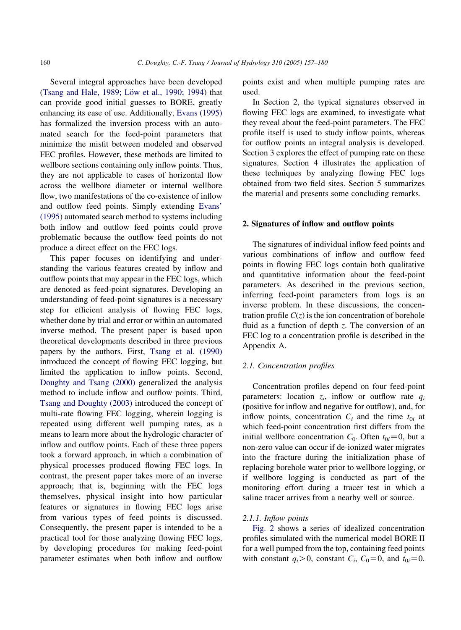Several integral approaches have been developed (Tsang and Hale, 1989; Löw et al., 1990; 1994) that can provide good initial guesses to BORE, greatly enhancing its ease of use. Additionally, [Evans \(1995\)](#page-23-0) has formalized the inversion process with an automated search for the feed-point parameters that minimize the misfit between modeled and observed FEC profiles. However, these methods are limited to wellbore sections containing only inflow points. Thus, they are not applicable to cases of horizontal flow across the wellbore diameter or internal wellbore flow, two manifestations of the co-existence of inflow and outflow feed points. Simply extending [Evans'](#page-23-0) [\(1995\)](#page-23-0) automated search method to systems including both inflow and outflow feed points could prove problematic because the outflow feed points do not produce a direct effect on the FEC logs.

This paper focuses on identifying and understanding the various features created by inflow and outflow points that may appear in the FEC logs, which are denoted as feed-point signatures. Developing an understanding of feed-point signatures is a necessary step for efficient analysis of flowing FEC logs, whether done by trial and error or within an automated inverse method. The present paper is based upon theoretical developments described in three previous papers by the authors. First, [Tsang et al. \(1990\)](#page-23-0) introduced the concept of flowing FEC logging, but limited the application to inflow points. Second, [Doughty and Tsang \(2000\)](#page-23-0) generalized the analysis method to include inflow and outflow points. Third, [Tsang and Doughty \(2003\)](#page-23-0) introduced the concept of multi-rate flowing FEC logging, wherein logging is repeated using different well pumping rates, as a means to learn more about the hydrologic character of inflow and outflow points. Each of these three papers took a forward approach, in which a combination of physical processes produced flowing FEC logs. In contrast, the present paper takes more of an inverse approach; that is, beginning with the FEC logs themselves, physical insight into how particular features or signatures in flowing FEC logs arise from various types of feed points is discussed. Consequently, the present paper is intended to be a practical tool for those analyzing flowing FEC logs, by developing procedures for making feed-point parameter estimates when both inflow and outflow

points exist and when multiple pumping rates are used.

In Section 2, the typical signatures observed in flowing FEC logs are examined, to investigate what they reveal about the feed-point parameters. The FEC profile itself is used to study inflow points, whereas for outflow points an integral analysis is developed. Section 3 explores the effect of pumping rate on these signatures. Section 4 illustrates the application of these techniques by analyzing flowing FEC logs obtained from two field sites. Section 5 summarizes the material and presents some concluding remarks.

#### 2. Signatures of inflow and outflow points

The signatures of individual inflow feed points and various combinations of inflow and outflow feed points in flowing FEC logs contain both qualitative and quantitative information about the feed-point parameters. As described in the previous section, inferring feed-point parameters from logs is an inverse problem. In these discussions, the concentration profile  $C(z)$  is the ion concentration of borehole fluid as a function of depth z. The conversion of an FEC log to a concentration profile is described in the Appendix A.

#### 2.1. Concentration profiles

Concentration profiles depend on four feed-point parameters: location  $z_i$ , inflow or outflow rate  $q_i$ (positive for inflow and negative for outflow), and, for inflow points, concentration  $C_i$  and the time  $t_{0i}$  at which feed-point concentration first differs from the initial wellbore concentration  $C_0$ . Often  $t_{0i}=0$ , but a non-zero value can occur if de-ionized water migrates into the fracture during the initialization phase of replacing borehole water prior to wellbore logging, or if wellbore logging is conducted as part of the monitoring effort during a tracer test in which a saline tracer arrives from a nearby well or source.

#### 2.1.1. Inflow points

[Fig. 2](#page-4-0) shows a series of idealized concentration profiles simulated with the numerical model BORE II for a well pumped from the top, containing feed points with constant  $q_i>0$ , constant  $C_i$ ,  $C_0=0$ , and  $t_{0i}=0$ .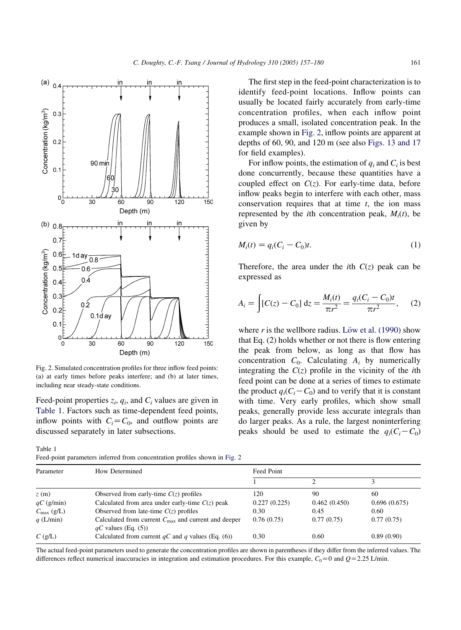<span id="page-4-0"></span>

Fig. 2. Simulated concentration profiles for three inflow feed points: (a) at early times before peaks interfere; and (b) at later times, including near steady-state conditions.

Feed-point properties  $z_i$ ,  $q_i$ , and  $C_i$  values are given in Table 1. Factors such as time-dependent feed points, inflow points with  $C_i = C_0$ , and outflow points are discussed separately in later subsections.

Table 1

Feed-point parameters inferred from concentration profiles shown in Fig. 2

The first step in the feed-point characterization is to identify feed-point locations. Inflow points can usually be located fairly accurately from early-time concentration profiles, when each inflow point produces a small, isolated concentration peak. In the example shown in Fig. 2, inflow points are apparent at depths of 60, 90, and 120 m (see also [Figs. 13 and 17](#page-15-0) for field examples).

For inflow points, the estimation of  $q_i$  and  $C_i$  is best done concurrently, because these quantities have a coupled effect on  $C(z)$ . For early-time data, before inflow peaks begin to interfere with each other, mass conservation requires that at time  $t$ , the ion mass represented by the *i*th concentration peak,  $M_i(t)$ , be given by

$$
M_i(t) = q_i(C_i - C_0)t.
$$
\n<sup>(1)</sup>

Therefore, the area under the *i*th  $C(z)$  peak can be expressed as

$$
A_i = \int [C(z) - C_0] dz = \frac{M_i(t)}{\pi r^2} = \frac{q_i(C_i - C_0)t}{\pi r^2}, \quad (2)
$$

where r is the wellbore radius. Löw et al.  $(1990)$  show that Eq. (2) holds whether or not there is flow entering the peak from below, as long as that flow has concentration  $C_0$ . Calculating  $A_i$  by numerically integrating the  $C(z)$  profile in the vicinity of the *i*th feed point can be done at a series of times to estimate the product  $q_i(C_i-C_0)$  and to verify that it is constant with time. Very early profiles, which show small peaks, generally provide less accurate integrals than do larger peaks. As a rule, the largest noninterfering peaks should be used to estimate the  $q_i(C_i-C_0)$ 

| Parameter              | How Determined                                                                           | Feed Point   |              |              |  |  |  |
|------------------------|------------------------------------------------------------------------------------------|--------------|--------------|--------------|--|--|--|
|                        |                                                                                          |              |              |              |  |  |  |
| z(m)                   | Observed from early-time $C(z)$ profiles                                                 | 120          | 90           | 60           |  |  |  |
| $qC$ (g/min)           | Calculated from area under early-time $C(z)$ peak                                        | 0.227(0.225) | 0.462(0.450) | 0.696(0.675) |  |  |  |
| $C_{\text{max}}$ (g/L) | Observed from late-time $C(z)$ profiles                                                  | 0.30         | 0.45         | 0.60         |  |  |  |
| $q$ (L/min)            | Calculated from current $C_{\text{max}}$ and current and deeper<br>$qC$ values (Eq. (5)) | 0.76(0.75)   | 0.77(0.75)   | 0.77(0.75)   |  |  |  |
| $C$ (g/L)              | Calculated from current $qC$ and q values (Eq. (6))                                      | 0.30         | 0.60         | 0.89(0.90)   |  |  |  |

The actual feed-point parameters used to generate the concentration profiles are shown in parentheses if they differ from the inferred values. The differences reflect numerical inaccuracies in integration and estimation procedures. For this example,  $C_0 = 0$  and  $Q = 2.25$  L/min.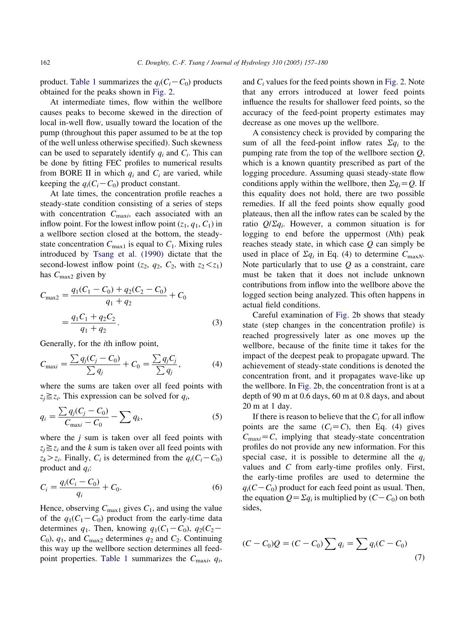product. [Table 1](#page-4-0) summarizes the  $q_i(C_i-C_0)$  products obtained for the peaks shown in [Fig. 2](#page-4-0).

At intermediate times, flow within the wellbore causes peaks to become skewed in the direction of local in-well flow, usually toward the location of the pump (throughout this paper assumed to be at the top of the well unless otherwise specified). Such skewness can be used to separately identify  $q_i$  and  $C_i$ . This can be done by fitting FEC profiles to numerical results from BORE II in which  $q_i$  and  $C_i$  are varied, while keeping the  $q_i(C_i-C_0)$  product constant.

At late times, the concentration profile reaches a steady-state condition consisting of a series of steps with concentration  $C_{\text{max}i}$ , each associated with an inflow point. For the lowest inflow point  $(z_1, q_1, C_1)$  in a wellbore section closed at the bottom, the steadystate concentration  $C_{\text{max1}}$  is equal to  $C_1$ . Mixing rules introduced by [Tsang et al. \(1990\)](#page-23-0) dictate that the second-lowest inflow point ( $z_2$ ,  $q_2$ ,  $C_2$ , with  $z_2 < z_1$ ) has  $C_{\text{max2}}$  given by

$$
C_{\text{max2}} = \frac{q_1(C_1 - C_0) + q_2(C_2 - C_0)}{q_1 + q_2} + C_0
$$
  
= 
$$
\frac{q_1 C_1 + q_2 C_2}{q_1 + q_2}.
$$
 (3)

Generally, for the ith inflow point,

$$
C_{\text{max}i} = \frac{\sum q_j (C_j - C_0)}{\sum q_j} + C_0 = \frac{\sum q_j C_j}{\sum q_j},
$$
 (4)

where the sums are taken over all feed points with  $z_i \geq z_i$ . This expression can be solved for  $q_i$ ,

$$
q_i = \frac{\sum q_j (C_j - C_0)}{C_{\text{max}} - C_0} - \sum q_k,
$$
\n(5)

where the  $j$  sum is taken over all feed points with  $z_i \ge z_i$  and the k sum is taken over all feed points with  $z_k > z_i$ . Finally,  $C_i$  is determined from the  $q_i(C_i-C_0)$ product and  $q_i$ :

$$
C_i = \frac{q_i(C_i - C_0)}{q_i} + C_0.
$$
\n(6)

Hence, observing  $C_{\text{max1}}$  gives  $C_1$ , and using the value of the  $q_1(C_1-C_0)$  product from the early-time data determines  $q_1$ . Then, knowing  $q_1(C_1-C_0)$ ,  $q_2(C_2$  $C_0$ ,  $q_1$ , and  $C_{\text{max}}$  determines  $q_2$  and  $C_2$ . Continuing this way up the wellbore section determines all feed-point properties. [Table 1](#page-4-0) summarizes the  $C_{\text{max}}$ ,  $q_i$ , and  $C_i$  values for the feed points shown in [Fig. 2](#page-4-0). Note that any errors introduced at lower feed points influence the results for shallower feed points, so the accuracy of the feed-point property estimates may decrease as one moves up the wellbore.

A consistency check is provided by comparing the sum of all the feed-point inflow rates  $\Sigma q_i$  to the pumping rate from the top of the wellbore section  $Q$ , which is a known quantity prescribed as part of the logging procedure. Assuming quasi steady-state flow conditions apply within the wellbore, then  $\Sigma q_i = Q$ . If this equality does not hold, there are two possible remedies. If all the feed points show equally good plateaus, then all the inflow rates can be scaled by the ratio  $Q/\Sigma q_i$ . However, a common situation is for logging to end before the uppermost (Nth) peak reaches steady state, in which case  $Q$  can simply be used in place of  $\Sigma q_i$  in Eq. (4) to determine  $C_{\text{max}}$ . Note particularly that to use  $Q$  as a constraint, care must be taken that it does not include unknown contributions from inflow into the wellbore above the logged section being analyzed. This often happens in actual field conditions.

Careful examination of [Fig. 2b](#page-4-0) shows that steady state (step changes in the concentration profile) is reached progressively later as one moves up the wellbore, because of the finite time it takes for the impact of the deepest peak to propagate upward. The achievement of steady-state conditions is denoted the concentration front, and it propagates wave-like up the wellbore. In [Fig. 2b](#page-4-0), the concentration front is at a depth of 90 m at 0.6 days, 60 m at 0.8 days, and about 20 m at 1 day.

If there is reason to believe that the  $C_i$  for all inflow points are the same  $(C_i = C)$ , then Eq. (4) gives  $C_{\text{max}}=C$ , implying that steady-state concentration profiles do not provide any new information. For this special case, it is possible to determine all the  $q_i$ values and C from early-time profiles only. First, the early-time profiles are used to determine the  $q_i(C-C_0)$  product for each feed point as usual. Then, the equation  $Q = \sum q_i$  is multiplied by  $(C - C_0)$  on both sides,

$$
(C - C_0)Q = (C - C_0) \sum q_i = \sum q_i (C - C_0)
$$
\n(7)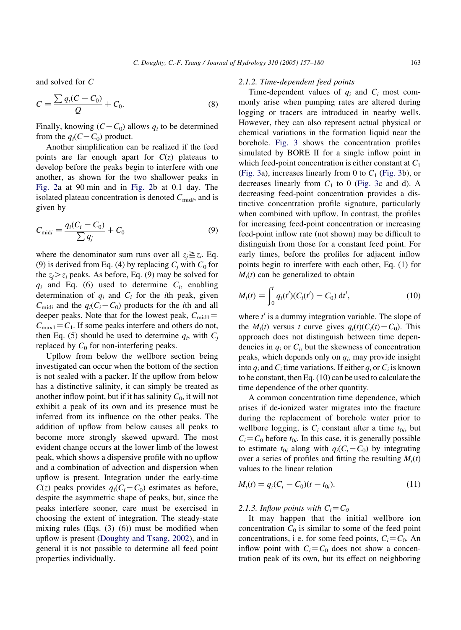and solved for C

$$
C = \frac{\sum q_i (C - C_0)}{Q} + C_0.
$$
 (8)

Finally, knowing  $(C - C_0)$  allows  $q_i$  to be determined from the  $q_i(C-C_0)$  product.

Another simplification can be realized if the feed points are far enough apart for  $C(z)$  plateaus to develop before the peaks begin to interfere with one another, as shown for the two shallower peaks in [Fig. 2](#page-4-0)a at 90 min and in [Fig. 2b](#page-4-0) at 0.1 day. The isolated plateau concentration is denoted  $C_{\text{mid}i}$ , and is given by

$$
C_{\text{mid}i} = \frac{q_i(C_i - C_0)}{\sum q_j} + C_0 \tag{9}
$$

where the denominator sum runs over all  $z_i \geq z_i$ . Eq. (9) is derived from Eq. (4) by replacing  $C_i$  with  $C_0$  for the  $z_i > z_i$  peaks. As before, Eq. (9) may be solved for  $q_i$  and Eq. (6) used to determine  $C_i$ , enabling determination of  $q_i$  and  $C_i$  for the *i*th peak, given  $C_{\text{midi}}$  and the  $q_i(C_i-C_0)$  products for the *i*th and all deeper peaks. Note that for the lowest peak,  $C_{\text{mid1}}=$  $C_{\text{max1}}=C_1$ . If some peaks interfere and others do not, then Eq. (5) should be used to determine  $q_i$ , with  $C_i$ replaced by  $C_0$  for non-interfering peaks.

Upflow from below the wellbore section being investigated can occur when the bottom of the section is not sealed with a packer. If the upflow from below has a distinctive salinity, it can simply be treated as another inflow point, but if it has salinity  $C_0$ , it will not exhibit a peak of its own and its presence must be inferred from its influence on the other peaks. The addition of upflow from below causes all peaks to become more strongly skewed upward. The most evident change occurs at the lower limb of the lowest peak, which shows a dispersive profile with no upflow and a combination of advection and dispersion when upflow is present. Integration under the early-time  $C(z)$  peaks provides  $q_i(C_i-C_0)$  estimates as before, despite the asymmetric shape of peaks, but, since the peaks interfere sooner, care must be exercised in choosing the extent of integration. The steady-state mixing rules (Eqs.  $(3)$ – $(6)$ ) must be modified when upflow is present [\(Doughty and Tsang, 2002\)](#page-23-0), and in general it is not possible to determine all feed point properties individually.

#### 2.1.2. Time-dependent feed points

Time-dependent values of  $q_i$  and  $C_i$  most commonly arise when pumping rates are altered during logging or tracers are introduced in nearby wells. However, they can also represent actual physical or chemical variations in the formation liquid near the borehole. [Fig. 3](#page-7-0) shows the concentration profiles simulated by BORE II for a single inflow point in which feed-point concentration is either constant at  $C_1$ ([Fig. 3a](#page-7-0)), increases linearly from 0 to  $C_1$  [\(Fig. 3b](#page-7-0)), or decreases linearly from  $C_1$  to 0 [\(Fig. 3](#page-7-0)c and d). A decreasing feed-point concentration provides a distinctive concentration profile signature, particularly when combined with upflow. In contrast, the profiles for increasing feed-point concentration or increasing feed-point inflow rate (not shown) may be difficult to distinguish from those for a constant feed point. For early times, before the profiles for adjacent inflow points begin to interfere with each other, Eq. (1) for  $M_i(t)$  can be generalized to obtain

$$
M_i(t) = \int_0^t q_i(t') (C_i(t') - C_0) \, \mathrm{d}t', \tag{10}
$$

where  $t'$  is a dummy integration variable. The slope of the  $M_i(t)$  versus t curve gives  $q_i(t)(C_i(t)-C_0)$ . This approach does not distinguish between time dependencies in  $q_i$  or  $C_i$ , but the skewness of concentration peaks, which depends only on  $q_i$ , may provide insight into  $q_i$  and  $C_i$  time variations. If either  $q_i$  or  $C_i$  is known to be constant, then Eq. (10) can be used to calculate the time dependence of the other quantity.

A common concentration time dependence, which arises if de-ionized water migrates into the fracture during the replacement of borehole water prior to wellbore logging, is  $C_i$  constant after a time  $t_{0i}$ , but  $C_i = C_0$  before  $t_{0i}$ . In this case, it is generally possible to estimate  $t_{0i}$  along with  $q_i(C_i-C_0)$  by integrating over a series of profiles and fitting the resulting  $M_i(t)$ values to the linear relation

$$
M_i(t) = q_i(C_i - C_0)(t - t_{0i}).
$$
\n(11)

#### 2.1.3. Inflow points with  $C_i = C_0$

It may happen that the initial wellbore ion concentration  $C_0$  is similar to some of the feed point concentrations, i e. for some feed points,  $C_i = C_0$ . An inflow point with  $C_i = C_0$  does not show a concentration peak of its own, but its effect on neighboring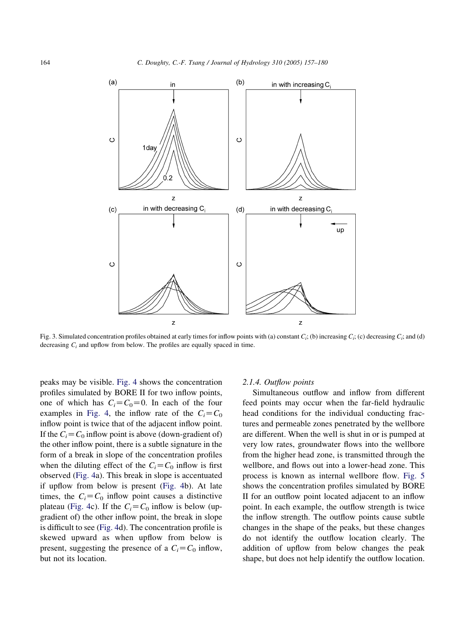<span id="page-7-0"></span>

Fig. 3. Simulated concentration profiles obtained at early times for inflow points with (a) constant  $C_i$ ; (b) increasing  $C_i$ ; (c) decreasing  $C_i$ ; and (d) decreasing  $C_i$  and upflow from below. The profiles are equally spaced in time.

peaks may be visible. [Fig. 4](#page-8-0) shows the concentration profiles simulated by BORE II for two inflow points, one of which has  $C_i = C_0 = 0$ . In each of the four examples in [Fig. 4](#page-8-0), the inflow rate of the  $C_i = C_0$ inflow point is twice that of the adjacent inflow point. If the  $C_i = C_0$  inflow point is above (down-gradient of) the other inflow point, there is a subtle signature in the form of a break in slope of the concentration profiles when the diluting effect of the  $C_i = C_0$  inflow is first observed [\(Fig. 4a](#page-8-0)). This break in slope is accentuated if upflow from below is present [\(Fig. 4b](#page-8-0)). At late times, the  $C_i = C_0$  inflow point causes a distinctive plateau [\(Fig. 4](#page-8-0)c). If the  $C_i = C_0$  inflow is below (upgradient of) the other inflow point, the break in slope is difficult to see [\(Fig. 4](#page-8-0)d). The concentration profile is skewed upward as when upflow from below is present, suggesting the presence of a  $C_i = C_0$  inflow, but not its location.

#### 2.1.4. Outflow points

Simultaneous outflow and inflow from different feed points may occur when the far-field hydraulic head conditions for the individual conducting fractures and permeable zones penetrated by the wellbore are different. When the well is shut in or is pumped at very low rates, groundwater flows into the wellbore from the higher head zone, is transmitted through the wellbore, and flows out into a lower-head zone. This process is known as internal wellbore flow. [Fig. 5](#page-9-0) shows the concentration profiles simulated by BORE II for an outflow point located adjacent to an inflow point. In each example, the outflow strength is twice the inflow strength. The outflow points cause subtle changes in the shape of the peaks, but these changes do not identify the outflow location clearly. The addition of upflow from below changes the peak shape, but does not help identify the outflow location.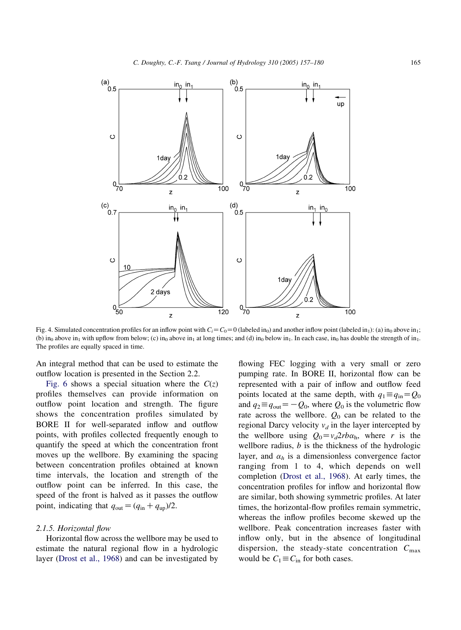<span id="page-8-0"></span>

Fig. 4. Simulated concentration profiles for an inflow point with  $C_i = C_0 = 0$  (labeled in<sub>0</sub>) and another inflow point (labeled in<sub>1</sub>): (a) in<sub>0</sub> above in<sub>1</sub>; (b) in<sub>0</sub> above in<sub>1</sub> with upflow from below; (c) in<sub>0</sub> above in<sub>1</sub> at long times; and (d) in<sub>0</sub> below in<sub>1</sub>. In each case, in<sub>0</sub> has double the strength of in<sub>1</sub>. The profiles are equally spaced in time.

An integral method that can be used to estimate the outflow location is presented in the Section 2.2.

[Fig. 6](#page-9-0) shows a special situation where the  $C(z)$ profiles themselves can provide information on outflow point location and strength. The figure shows the concentration profiles simulated by BORE II for well-separated inflow and outflow points, with profiles collected frequently enough to quantify the speed at which the concentration front moves up the wellbore. By examining the spacing between concentration profiles obtained at known time intervals, the location and strength of the outflow point can be inferred. In this case, the speed of the front is halved as it passes the outflow point, indicating that  $q_{\text{out}} = (q_{\text{in}} + q_{\text{up}})/2$ .

#### 2.1.5. Horizontal flow

Horizontal flow across the wellbore may be used to estimate the natural regional flow in a hydrologic layer [\(Drost et al., 1968](#page-23-0)) and can be investigated by flowing FEC logging with a very small or zero pumping rate. In BORE II, horizontal flow can be represented with a pair of inflow and outflow feed points located at the same depth, with  $q_1 \equiv q_{in} = Q_0$ and  $q_2 \equiv q_{\text{out}} = -Q_0$ , where  $Q_0$  is the volumetric flow rate across the wellbore.  $Q_0$  can be related to the regional Darcy velocity  $v_d$  in the layer intercepted by the wellbore using  $Q_0 = v_d 2rb\alpha_h$ , where r is the wellbore radius,  $b$  is the thickness of the hydrologic layer, and  $\alpha_h$  is a dimensionless convergence factor ranging from 1 to 4, which depends on well completion [\(Drost et al., 1968](#page-23-0)). At early times, the concentration profiles for inflow and horizontal flow are similar, both showing symmetric profiles. At later times, the horizontal-flow profiles remain symmetric, whereas the inflow profiles become skewed up the wellbore. Peak concentration increases faster with inflow only, but in the absence of longitudinal dispersion, the steady-state concentration  $C_{\text{max}}$ would be  $C_1 \equiv C_{\text{in}}$  for both cases.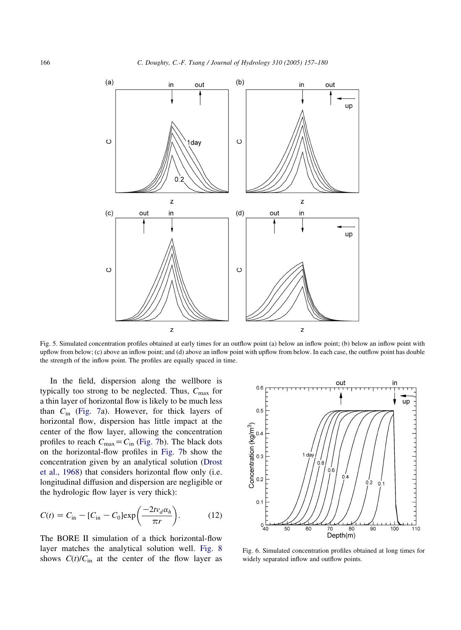<span id="page-9-0"></span>

Fig. 5. Simulated concentration profiles obtained at early times for an outflow point (a) below an inflow point; (b) below an inflow point with upflow from below; (c) above an inflow point; and (d) above an inflow point with upflow from below. In each case, the outflow point has double the strength of the inflow point. The profiles are equally spaced in time.

In the field, dispersion along the wellbore is typically too strong to be neglected. Thus,  $C_{\text{max}}$  for a thin layer of horizontal flow is likely to be much less than  $C_{\text{in}}$  [\(Fig. 7](#page-10-0)a). However, for thick layers of horizontal flow, dispersion has little impact at the center of the flow layer, allowing the concentration profiles to reach  $C_{\text{max}}=C_{\text{in}}$  ([Fig. 7](#page-10-0)b). The black dots on the horizontal-flow profiles in [Fig. 7b](#page-10-0) show the concentration given by an analytical solution [\(Drost](#page-23-0) [et al., 1968\)](#page-23-0) that considers horizontal flow only (i.e. longitudinal diffusion and dispersion are negligible or the hydrologic flow layer is very thick):

$$
C(t) = C_{\text{in}} - [C_{\text{in}} - C_0] \exp\left(\frac{-2t\nu_d \alpha_h}{\pi r}\right).
$$
 (12)

The BORE II simulation of a thick horizontal-flow layer matches the analytical solution well. [Fig. 8](#page-10-0) shows  $C(t)/C_{\text{in}}$  at the center of the flow layer as



Fig. 6. Simulated concentration profiles obtained at long times for widely separated inflow and outflow points.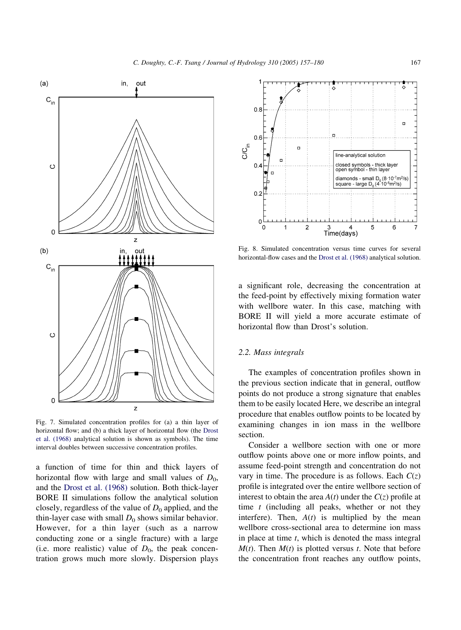<span id="page-10-0"></span>

Fig. 7. Simulated concentration profiles for (a) a thin layer of horizontal flow; and (b) a thick layer of horizontal flow (the [Drost](#page-23-0) [et al. \(1968\)](#page-23-0) analytical solution is shown as symbols). The time interval doubles between successive concentration profiles.

a function of time for thin and thick layers of horizontal flow with large and small values of  $D_0$ , and the [Drost et al. \(1968\)](#page-23-0) solution. Both thick-layer BORE II simulations follow the analytical solution closely, regardless of the value of  $D_0$  applied, and the thin-layer case with small  $D_0$  shows similar behavior. However, for a thin layer (such as a narrow conducting zone or a single fracture) with a large (i.e. more realistic) value of  $D_0$ , the peak concentration grows much more slowly. Dispersion plays



Fig. 8. Simulated concentration versus time curves for several horizontal-flow cases and the [Drost et al. \(1968\)](#page-23-0) analytical solution.

a significant role, decreasing the concentration at the feed-point by effectively mixing formation water with wellbore water. In this case, matching with BORE II will yield a more accurate estimate of horizontal flow than Drost's solution.

#### 2.2. Mass integrals

The examples of concentration profiles shown in the previous section indicate that in general, outflow points do not produce a strong signature that enables them to be easily located Here, we describe an integral procedure that enables outflow points to be located by examining changes in ion mass in the wellbore section.

Consider a wellbore section with one or more outflow points above one or more inflow points, and assume feed-point strength and concentration do not vary in time. The procedure is as follows. Each  $C(z)$ profile is integrated over the entire wellbore section of interest to obtain the area  $A(t)$  under the  $C(z)$  profile at time  $t$  (including all peaks, whether or not they interfere). Then,  $A(t)$  is multiplied by the mean wellbore cross-sectional area to determine ion mass in place at time  $t$ , which is denoted the mass integral  $M(t)$ . Then  $M(t)$  is plotted versus t. Note that before the concentration front reaches any outflow points,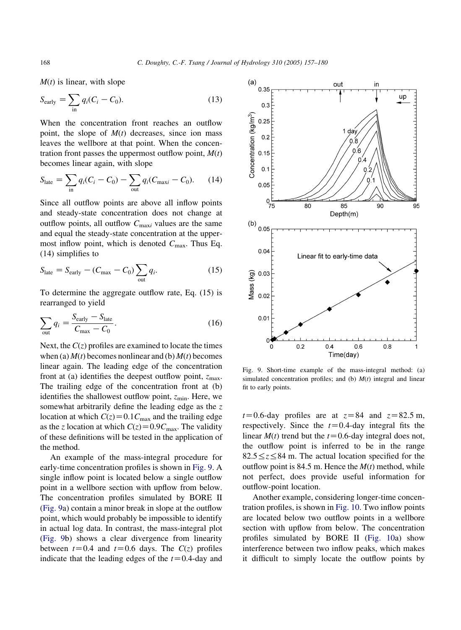$M(t)$  is linear, with slope

$$
S_{\text{early}} = \sum_{\text{in}} q_i (C_i - C_0). \tag{13}
$$

When the concentration front reaches an outflow point, the slope of  $M(t)$  decreases, since ion mass leaves the wellbore at that point. When the concentration front passes the uppermost outflow point,  $M(t)$ becomes linear again, with slope

$$
S_{\text{late}} = \sum_{\text{in}} q_i (C_i - C_0) - \sum_{\text{out}} q_i (C_{\text{max}} - C_0). \tag{14}
$$

Since all outflow points are above all inflow points and steady-state concentration does not change at outflow points, all outflow  $C_{\text{max}i}$  values are the same and equal the steady-state concentration at the uppermost inflow point, which is denoted  $C_{\text{max}}$ . Thus Eq. (14) simplifies to

$$
S_{\text{late}} = S_{\text{early}} - (C_{\text{max}} - C_0) \sum_{\text{out}} q_i.
$$
 (15)

To determine the aggregate outflow rate, Eq. (15) is rearranged to yield

$$
\sum_{\text{out}} q_i = \frac{S_{\text{early}} - S_{\text{late}}}{C_{\text{max}} - C_0}.
$$
 (16)

Next, the  $C(z)$  profiles are examined to locate the times when (a)  $M(t)$  becomes nonlinear and (b)  $M(t)$  becomes linear again. The leading edge of the concentration front at (a) identifies the deepest outflow point,  $z_{\text{max}}$ . The trailing edge of the concentration front at (b) identifies the shallowest outflow point,  $z_{\text{min}}$ . Here, we somewhat arbitrarily define the leading edge as the z location at which  $C(z) = 0.1C_{\text{max}}$  and the trailing edge as the z location at which  $C(z) = 0.9C_{\text{max}}$ . The validity of these definitions will be tested in the application of the method.

An example of the mass-integral procedure for early-time concentration profiles is shown in Fig. 9. A single inflow point is located below a single outflow point in a wellbore section with upflow from below. The concentration profiles simulated by BORE II (Fig. 9a) contain a minor break in slope at the outflow point, which would probably be impossible to identify in actual log data. In contrast, the mass-integral plot (Fig. 9b) shows a clear divergence from linearity between  $t=0.4$  and  $t=0.6$  days. The  $C(z)$  profiles indicate that the leading edges of the  $t=0.4$ -day and



Fig. 9. Short-time example of the mass-integral method: (a) simulated concentration profiles; and (b)  $M(t)$  integral and linear fit to early points.

 $t=0.6$ -day profiles are at  $z=84$  and  $z=82.5$  m, respectively. Since the  $t=0.4$ -day integral fits the linear  $M(t)$  trend but the  $t=0.6$ -day integral does not, the outflow point is inferred to be in the range  $82.5 \le z \le 84$  m. The actual location specified for the outflow point is 84.5 m. Hence the  $M(t)$  method, while not perfect, does provide useful information for outflow-point location.

Another example, considering longer-time concentration profiles, is shown in [Fig. 10](#page-12-0). Two inflow points are located below two outflow points in a wellbore section with upflow from below. The concentration profiles simulated by BORE II [\(Fig. 10](#page-12-0)a) show interference between two inflow peaks, which makes it difficult to simply locate the outflow points by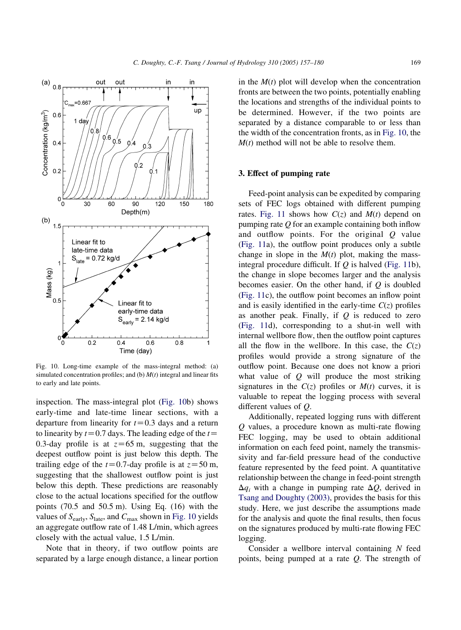<span id="page-12-0"></span>

Fig. 10. Long-time example of the mass-integral method: (a) simulated concentration profiles; and (b)  $M(t)$  integral and linear fits to early and late points.

inspection. The mass-integral plot (Fig. 10b) shows early-time and late-time linear sections, with a departure from linearity for  $t=0.3$  days and a return to linearity by  $t=0.7$  days. The leading edge of the  $t=$ 0.3-day profile is at  $z=65$  m, suggesting that the deepest outflow point is just below this depth. The trailing edge of the  $t=0.7$ -day profile is at  $z=50$  m, suggesting that the shallowest outflow point is just below this depth. These predictions are reasonably close to the actual locations specified for the outflow points (70.5 and 50.5 m). Using Eq. (16) with the values of  $S_{\text{early}}$ ,  $S_{\text{late}}$ , and  $C_{\text{max}}$  shown in Fig. 10 yields an aggregate outflow rate of 1.48 L/min, which agrees closely with the actual value, 1.5 L/min.

Note that in theory, if two outflow points are separated by a large enough distance, a linear portion in the  $M(t)$  plot will develop when the concentration fronts are between the two points, potentially enabling the locations and strengths of the individual points to be determined. However, if the two points are separated by a distance comparable to or less than the width of the concentration fronts, as in Fig. 10, the  $M(t)$  method will not be able to resolve them.

# 3. Effect of pumping rate

Feed-point analysis can be expedited by comparing sets of FEC logs obtained with different pumping rates. [Fig. 11](#page-13-0) shows how  $C(z)$  and  $M(t)$  depend on pumping rate  $Q$  for an example containing both inflow and outflow points. For the original Q value ([Fig. 11a](#page-13-0)), the outflow point produces only a subtle change in slope in the  $M(t)$  plot, making the massintegral procedure difficult. If  $Q$  is halved [\(Fig. 11](#page-13-0)b), the change in slope becomes larger and the analysis becomes easier. On the other hand, if  $Q$  is doubled ([Fig. 11](#page-13-0)c), the outflow point becomes an inflow point and is easily identified in the early-time  $C(z)$  profiles as another peak. Finally, if  $Q$  is reduced to zero ([Fig. 11d](#page-13-0)), corresponding to a shut-in well with internal wellbore flow, then the outflow point captures all the flow in the wellbore. In this case, the  $C(z)$ profiles would provide a strong signature of the outflow point. Because one does not know a priori what value of  $Q$  will produce the most striking signatures in the  $C(z)$  profiles or  $M(t)$  curves, it is valuable to repeat the logging process with several different values of Q.

Additionally, repeated logging runs with different Q values, a procedure known as multi-rate flowing FEC logging, may be used to obtain additional information on each feed point, namely the transmissivity and far-field pressure head of the conductive feature represented by the feed point. A quantitative relationship between the change in feed-point strength  $\Delta q_i$  with a change in pumping rate  $\Delta Q$ , derived in [Tsang and Doughty \(2003\)](#page-23-0), provides the basis for this study. Here, we just describe the assumptions made for the analysis and quote the final results, then focus on the signatures produced by multi-rate flowing FEC logging.

Consider a wellbore interval containing  $N$  feed points, being pumped at a rate Q. The strength of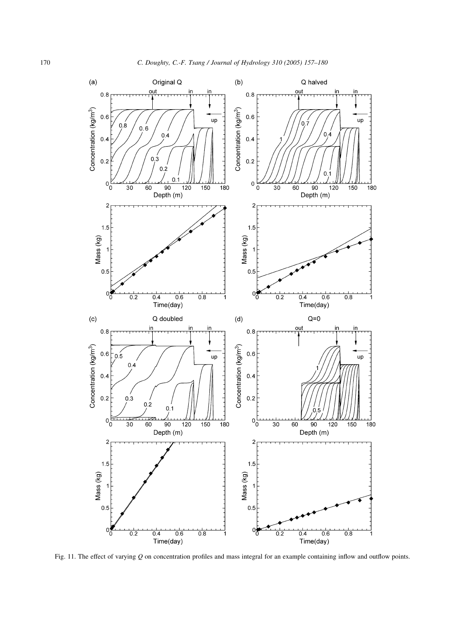<span id="page-13-0"></span>

Fig. 11. The effect of varying Q on concentration profiles and mass integral for an example containing inflow and outflow points.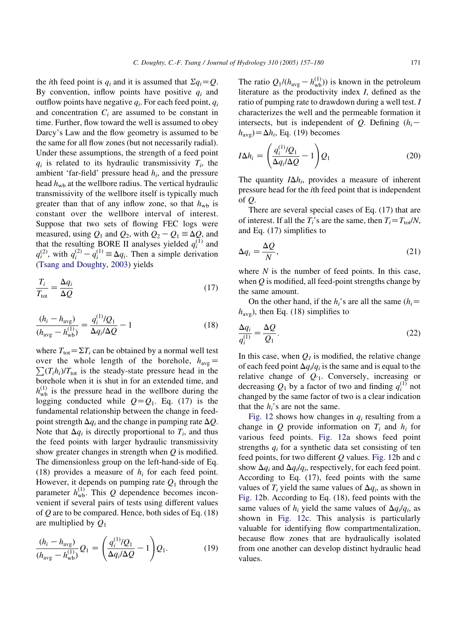the *i*th feed point is  $q_i$  and it is assumed that  $\sum q_i = Q$ . By convention, inflow points have positive  $q_i$  and outflow points have negative  $q_i$ . For each feed point,  $q_i$ and concentration  $C_i$  are assumed to be constant in time. Further, flow toward the well is assumed to obey Darcy's Law and the flow geometry is assumed to be the same for all flow zones (but not necessarily radial). Under these assumptions, the strength of a feed point  $q_i$  is related to its hydraulic transmissivity  $T_i$ , the ambient 'far-field' pressure head  $h_i$ , and the pressure head  $h_{\rm wh}$  at the wellbore radius. The vertical hydraulic transmissivity of the wellbore itself is typically much greater than that of any inflow zone, so that  $h_{\rm wb}$  is constant over the wellbore interval of interest. Suppose that two sets of flowing FEC logs were measured, using  $Q_1$  and  $Q_2$ , with  $Q_2 - Q_1 \equiv \Delta Q$ , and that the resulting BORE II analyses yielded  $q_i^{(1)}$  and  $q_i^{(2)}$ , with  $q_i^{(2)} - q_i^{(1)} \equiv \Delta q_i$ . Then a simple derivation ([Tsang and Doughty, 2003](#page-23-0)) yields

$$
\frac{T_i}{T_{\text{tot}}} = \frac{\Delta q_i}{\Delta Q} \tag{17}
$$

$$
\frac{(h_i - h_{\text{avg}})}{(h_{\text{avg}} - h_{\text{wb}}^{(1)})} = \frac{q_i^{(1)}/Q_1}{\Delta q_i/\Delta Q} - 1
$$
\n(18)

where  $T_{\text{tot}} = \Sigma T_i$  can be obtained by a normal well test over the whole length of the borehole,  $h_{\text{avg}} =$  $\sum (T_i h_i) / T_{\text{tot}}$  is the steady-state pressure head in the borehole when it is shut in for an extended time, and  $h_{\rm wb}^{(1)}$  is the pressure head in the wellbore during the logging conducted while  $Q = Q_1$ . Eq. (17) is the fundamental relationship between the change in feedpoint strength  $\Delta q_i$  and the change in pumping rate  $\Delta Q$ . Note that  $\Delta q_i$  is directly proportional to  $T_i$ , and thus the feed points with larger hydraulic transmissivity show greater changes in strength when  $Q$  is modified. The dimensionless group on the left-hand-side of Eq. (18) provides a measure of  $h_i$  for each feed point. However, it depends on pumping rate  $Q_1$  through the parameter  $h_{\text{wb}}^{(1)}$ . This Q dependence becomes inconvenient if several pairs of tests using different values of  $Q$  are to be compared. Hence, both sides of Eq. (18) are multiplied by  $Q_1$ 

$$
\frac{(h_i - h_{\text{avg}})}{(h_{\text{avg}} - h_{\text{wb}}^{(1)})} Q_1 = \left(\frac{q_i^{(1)}/Q_1}{\Delta q_i/\Delta Q} - 1\right) Q_1.
$$
 (19)

The ratio  $Q_1/(h_{\text{avg}} - h_{\text{wb}}^{(1)})$  is known in the petroleum literature as the productivity index I, defined as the ratio of pumping rate to drawdown during a well test. I characterizes the well and the permeable formation it intersects, but is independent of Q. Defining  $(h_i$  $h_{\text{avg}} = \Delta h_i$ , Eq. (19) becomes

$$
I\Delta h_i = \left(\frac{q_i^{(1)}/Q_1}{\Delta q_i/\Delta Q} - 1\right)Q_1\tag{20}
$$

The quantity  $I\Delta h_i$ , provides a measure of inherent pressure head for the ith feed point that is independent of  $\overline{O}$ .

There are several special cases of Eq. (17) that are of interest. If all the  $T_i$ 's are the same, then  $T_i = T_{tot}/N$ , and Eq. (17) simplifies to

$$
\Delta q_i = \frac{\Delta Q}{N},\tag{21}
$$

where  $N$  is the number of feed points. In this case, when  $Q$  is modified, all feed-point strengths change by the same amount.

On the other hand, if the  $h_i$ 's are all the same ( $h_i$ =  $h_{\text{avg}}$ ), then Eq. (18) simplifies to

$$
\frac{\Delta q_i}{q_i^{(1)}} = \frac{\Delta Q}{Q_1}.\tag{22}
$$

In this case, when  $Q_1$  is modified, the relative change of each feed point  $\Delta q_i/q_i$  is the same and is equal to the relative change of  $Q_{1}$ . Conversely, increasing or decreasing  $Q_1$  by a factor of two and finding  $q_i^{(1)}$  not changed by the same factor of two is a clear indication that the  $h_i$ 's are not the same.

[Fig. 12](#page-15-0) shows how changes in  $q_i$  resulting from a change in Q provide information on  $T_i$  and  $h_i$  for various feed points. [Fig. 12](#page-15-0)a shows feed point strengths  $q_i$  for a synthetic data set consisting of ten feed points, for two different  $Q$  values. [Fig. 12b](#page-15-0) and c show  $\Delta q_i$  and  $\Delta q_i/q_i$ , respectively, for each feed point. According to Eq. (17), feed points with the same values of  $T_i$  yield the same values of  $\Delta q_i$ , as shown in [Fig. 12](#page-15-0)b. According to Eq. (18), feed points with the same values of  $h_i$  yield the same values of  $\Delta q_i/q_i$ , as shown in [Fig. 12c](#page-15-0). This analysis is particularly valuable for identifying flow compartmentalization, because flow zones that are hydraulically isolated from one another can develop distinct hydraulic head values.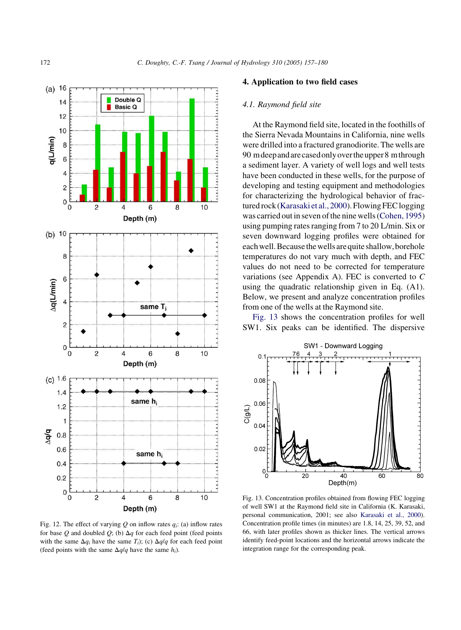<span id="page-15-0"></span>

Fig. 12. The effect of varying Q on inflow rates  $q_i$ : (a) inflow rates for base Q and doubled  $Q$ ; (b)  $\Delta q$  for each feed point (feed points with the same  $\Delta q_i$  have the same  $T_i$ ); (c)  $\Delta q/q$  for each feed point (feed points with the same  $\Delta q/q$  have the same  $h_i$ ).

#### 4. Application to two field cases

#### 4.1. Raymond field site

At the Raymond field site, located in the foothills of the Sierra Nevada Mountains in California, nine wells were drilled into a fractured granodiorite. The wells are 90 mdeepandarecasedonlyovertheupper8 mthrough a sediment layer. A variety of well logs and well tests have been conducted in these wells, for the purpose of developing and testing equipment and methodologies for characterizing the hydrological behavior of fractured rock ([Karasaki et al., 2000\)](#page-23-0). Flowing FEC logging was carried out in seven of the nine wells [\(Cohen, 1995](#page-22-0)) using pumping rates ranging from 7 to 20 L/min. Six or seven downward logging profiles were obtained for each well. Because the wells are quite shallow, borehole temperatures do not vary much with depth, and FEC values do not need to be corrected for temperature variations (see Appendix A). FEC is converted to C using the quadratic relationship given in Eq. (A1). Below, we present and analyze concentration profiles from one of the wells at the Raymond site.

Fig. 13 shows the concentration profiles for well SW1. Six peaks can be identified. The dispersive



Fig. 13. Concentration profiles obtained from flowing FEC logging of well SW1 at the Raymond field site in California (K. Karasaki, personal communication, 2001; see also [Karasaki et al., 2000\)](#page-23-0). Concentration profile times (in minutes) are 1.8, 14, 25, 39, 52, and 66, with later profiles shown as thicker lines. The vertical arrows identify feed-point locations and the horizontal arrows indicate the integration range for the corresponding peak.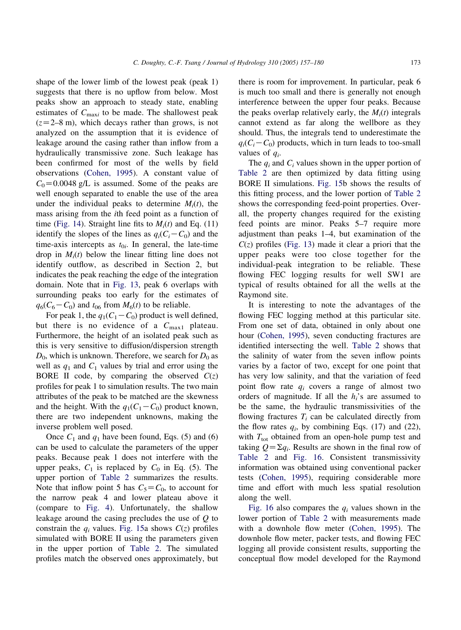shape of the lower limb of the lowest peak (peak 1) suggests that there is no upflow from below. Most peaks show an approach to steady state, enabling estimates of  $C_{\text{max}i}$  to be made. The shallowest peak  $(z=2-8 \text{ m})$ , which decays rather than grows, is not analyzed on the assumption that it is evidence of leakage around the casing rather than inflow from a hydraulically transmissive zone. Such leakage has been confirmed for most of the wells by field observations [\(Cohen, 1995](#page-22-0)). A constant value of  $C_0$ =0.0048 g/L is assumed. Some of the peaks are well enough separated to enable the use of the area under the individual peaks to determine  $M_i(t)$ , the mass arising from the ith feed point as a function of time ([Fig. 14\)](#page-17-0). Straight line fits to  $M_i(t)$  and Eq. (11) identify the slopes of the lines as  $q_i(C_i-C_0)$  and the time-axis intercepts as  $t_{0i}$ . In general, the late-time drop in  $M_i(t)$  below the linear fitting line does not identify outflow, as described in Section 2, but indicates the peak reaching the edge of the integration domain. Note that in [Fig. 13](#page-15-0), peak 6 overlaps with surrounding peaks too early for the estimates of  $q_6(C_6-C_0)$  and  $t_{06}$  from  $M_6(t)$  to be reliable.

For peak 1, the  $q_1(C_1-C_0)$  product is well defined, but there is no evidence of a  $C_{\text{max1}}$  plateau. Furthermore, the height of an isolated peak such as this is very sensitive to diffusion/dispersion strength  $D_0$ , which is unknown. Therefore, we search for  $D_0$  as well as  $q_1$  and  $C_1$  values by trial and error using the BORE II code, by comparing the observed  $C(z)$ profiles for peak 1 to simulation results. The two main attributes of the peak to be matched are the skewness and the height. With the  $q_1(C_1-C_0)$  product known, there are two independent unknowns, making the inverse problem well posed.

Once  $C_1$  and  $q_1$  have been found, Eqs. (5) and (6) can be used to calculate the parameters of the upper peaks. Because peak 1 does not interfere with the upper peaks,  $C_1$  is replaced by  $C_0$  in Eq. (5). The upper portion of [Table 2](#page-18-0) summarizes the results. Note that inflow point 5 has  $C_5 = C_0$ , to account for the narrow peak 4 and lower plateau above it (compare to [Fig. 4](#page-8-0)). Unfortunately, the shallow leakage around the casing precludes the use of Q to constrain the  $q_i$  values. [Fig. 15](#page-19-0)a shows  $C(z)$  profiles simulated with BORE II using the parameters given in the upper portion of [Table 2](#page-18-0). The simulated profiles match the observed ones approximately, but

there is room for improvement. In particular, peak 6 is much too small and there is generally not enough interference between the upper four peaks. Because the peaks overlap relatively early, the  $M_i(t)$  integrals cannot extend as far along the wellbore as they should. Thus, the integrals tend to underestimate the  $q_i(C_i-C_0)$  products, which in turn leads to too-small values of  $q_i$ .

The  $q_i$  and  $C_i$  values shown in the upper portion of [Table 2](#page-18-0) are then optimized by data fitting using BORE II simulations. [Fig. 15b](#page-19-0) shows the results of this fitting process, and the lower portion of [Table 2](#page-18-0) shows the corresponding feed-point properties. Overall, the property changes required for the existing feed points are minor. Peaks 5–7 require more adjustment than peaks 1–4, but examination of the  $C(z)$  profiles ([Fig. 13](#page-15-0)) made it clear a priori that the upper peaks were too close together for the individual-peak integration to be reliable. These flowing FEC logging results for well SW1 are typical of results obtained for all the wells at the Raymond site.

It is interesting to note the advantages of the flowing FEC logging method at this particular site. From one set of data, obtained in only about one hour [\(Cohen, 1995\)](#page-22-0), seven conducting fractures are identified intersecting the well. [Table 2](#page-18-0) shows that the salinity of water from the seven inflow points varies by a factor of two, except for one point that has very low salinity, and that the variation of feed point flow rate  $q_i$  covers a range of almost two orders of magnitude. If all the  $h_i$ 's are assumed to be the same, the hydraulic transmissivities of the flowing fractures  $T_i$  can be calculated directly from the flow rates  $q_i$ , by combining Eqs. (17) and (22), with  $T_{\text{tot}}$  obtained from an open-hole pump test and taking  $Q = \sum q_i$ . Results are shown in the final row of [Table 2](#page-18-0) and [Fig. 16.](#page-19-0) Consistent transmissivity information was obtained using conventional packer tests [\(Cohen, 1995](#page-22-0)), requiring considerable more time and effort with much less spatial resolution along the well.

[Fig. 16](#page-19-0) also compares the  $q_i$  values shown in the lower portion of [Table 2](#page-18-0) with measurements made with a downhole flow meter ([Cohen, 1995\)](#page-22-0). The downhole flow meter, packer tests, and flowing FEC logging all provide consistent results, supporting the conceptual flow model developed for the Raymond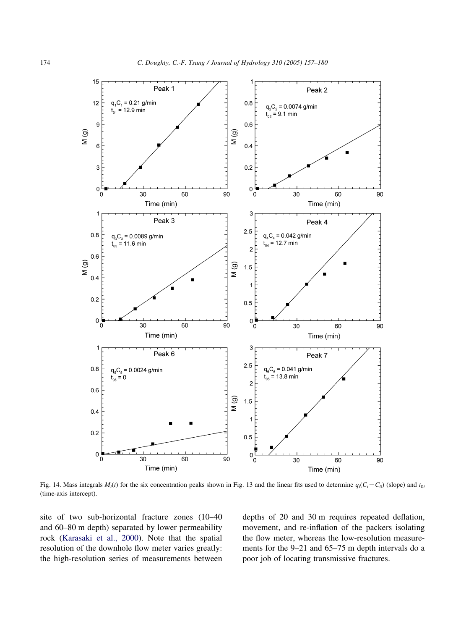<span id="page-17-0"></span>

Fig. 14. Mass integrals  $M_i(t)$  for the six concentration peaks shown in Fig. 13 and the linear fits used to determine  $q_i(C_i-C_0)$  (slope) and  $t_{0i}$ (time-axis intercept).

site of two sub-horizontal fracture zones (10–40 and 60–80 m depth) separated by lower permeability rock [\(Karasaki et al., 2000\)](#page-23-0). Note that the spatial resolution of the downhole flow meter varies greatly: the high-resolution series of measurements between depths of 20 and 30 m requires repeated deflation, movement, and re-inflation of the packers isolating the flow meter, whereas the low-resolution measurements for the 9–21 and 65–75 m depth intervals do a poor job of locating transmissive fractures.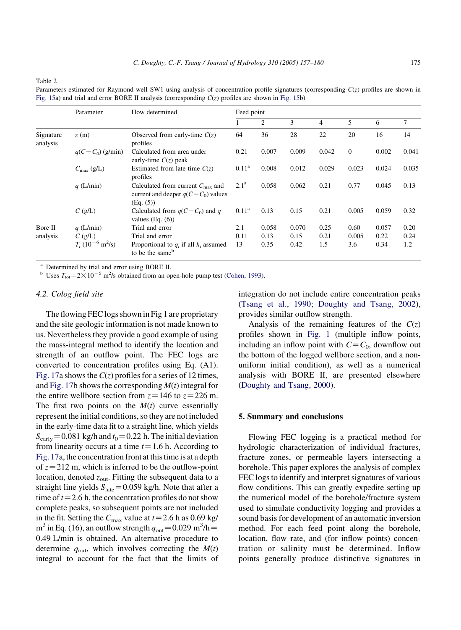<span id="page-18-0"></span>Table 2

Parameters estimated for Raymond well SW1 using analysis of concentration profile signatures (corresponding  $C(z)$  profiles are shown in [Fig. 15](#page-19-0)a) and trial and error BORE II analysis (corresponding  $C(z)$  profiles are shown in [Fig. 15b](#page-19-0))

|                       | Parameter                            | How determined                                                                                      | Feed point       |       |       |       |              |       |        |
|-----------------------|--------------------------------------|-----------------------------------------------------------------------------------------------------|------------------|-------|-------|-------|--------------|-------|--------|
|                       |                                      |                                                                                                     |                  | 2     | 3     | 4     | 5            | 6     | $\tau$ |
| Signature<br>analysis | z(m)                                 | Observed from early-time $C(z)$<br>profiles                                                         | 64               | 36    | 28    | 22    | 20           | 16    | 14     |
|                       | $q(C-C_0)$ (g/min)                   | Calculated from area under<br>early-time $C(z)$ peak                                                | 0.21             | 0.007 | 0.009 | 0.042 | $\mathbf{0}$ | 0.002 | 0.041  |
|                       | $C_{\text{max}}$ (g/L)               | Estimated from late-time $C(z)$<br>profiles                                                         | $0.11^a$         | 0.008 | 0.012 | 0.029 | 0.023        | 0.024 | 0.035  |
|                       | $q$ (L/min)                          | Calculated from current $C_{\text{max}}$ and<br>current and deeper $q(C - C_0)$ values<br>(Eq. (5)) | 2.1 <sup>a</sup> | 0.058 | 0.062 | 0.21  | 0.77         | 0.045 | 0.13   |
|                       | $C$ (g/L)                            | Calculated from $q(C - C_0)$ and q<br>values $(Eq. (6))$                                            | $0.11^{\rm a}$   | 0.13  | 0.15  | 0.21  | 0.005        | 0.059 | 0.32   |
| Bore II               | $q$ (L/min)                          | Trial and error                                                                                     | 2.1              | 0.058 | 0.070 | 0.25  | 0.60         | 0.057 | 0.20   |
| analysis              | $C$ (g/L)                            | Trial and error                                                                                     | 0.11             | 0.13  | 0.15  | 0.21  | 0.005        | 0.22  | 0.24   |
|                       | $T_i (10^{-6} \text{ m}^2/\text{s})$ | Proportional to $q_i$ if all $h_i$ assumed<br>to be the same <sup>b</sup>                           | 13               | 0.35  | 0.42  | 1.5   | 3.6          | 0.34  | 1.2    |

<sup>a</sup> Determined by trial and error using BORE II.

<sup>b</sup> Uses  $T_{\text{tot}} = 2 \times 10^{-5}$  m<sup>2</sup>/s obtained from an open-hole pump test ([Cohen, 1993\)](#page-22-0).

## 4.2. Colog field site

The flowing FEC logs shown in Fig 1 are proprietary and the site geologic information is not made known to us. Nevertheless they provide a good example of using the mass-integral method to identify the location and strength of an outflow point. The FEC logs are converted to concentration profiles using Eq. (A1). [Fig. 17](#page-19-0)a shows the  $C(z)$  profiles for a series of 12 times, and [Fig. 17b](#page-19-0) shows the corresponding  $M(t)$  integral for the entire wellbore section from  $z=146$  to  $z=226$  m. The first two points on the  $M(t)$  curve essentially represent the initial conditions, so they are not included in the early-time data fit to a straight line, which yields  $S_{\text{early}} = 0.081$  kg/h and  $t_0 = 0.22$  h. The initial deviation from linearity occurs at a time  $t=1.6$  h. According to [Fig. 17a](#page-19-0), the concentration front at this time is at a depth of  $z=212$  m, which is inferred to be the outflow-point location, denoted  $z_{\text{out}}$ . Fitting the subsequent data to a straight line yields  $S<sub>late</sub> = 0.059$  kg/h. Note that after a time of  $t=2.6$  h, the concentration profiles do not show complete peaks, so subsequent points are not included in the fit. Setting the  $C_{\text{max}}$  value at  $t=2.6$  h as 0.69 kg/  $m^3$  in Eq. (16), an outflow strength  $q_{\text{out}} = 0.029 \text{ m}^3/\text{h} =$ 0.49 L/min is obtained. An alternative procedure to determine  $q_{\text{out}}$ , which involves correcting the  $M(t)$ integral to account for the fact that the limits of integration do not include entire concentration peaks ([Tsang et al., 1990; Doughty and Tsang, 2002\)](#page-23-0), provides similar outflow strength.

Analysis of the remaining features of the  $C(z)$ profiles shown in [Fig. 1](#page-2-0) (multiple inflow points, including an inflow point with  $C = C_0$ , downflow out the bottom of the logged wellbore section, and a nonuniform initial condition), as well as a numerical analysis with BORE II, are presented elsewhere ([Doughty and Tsang, 2000](#page-23-0)).

#### 5. Summary and conclusions

Flowing FEC logging is a practical method for hydrologic characterization of individual fractures, fracture zones, or permeable layers intersecting a borehole. This paper explores the analysis of complex FEC logs to identify and interpret signatures of various flow conditions. This can greatly expedite setting up the numerical model of the borehole/fracture system used to simulate conductivity logging and provides a sound basis for development of an automatic inversion method. For each feed point along the borehole, location, flow rate, and (for inflow points) concentration or salinity must be determined. Inflow points generally produce distinctive signatures in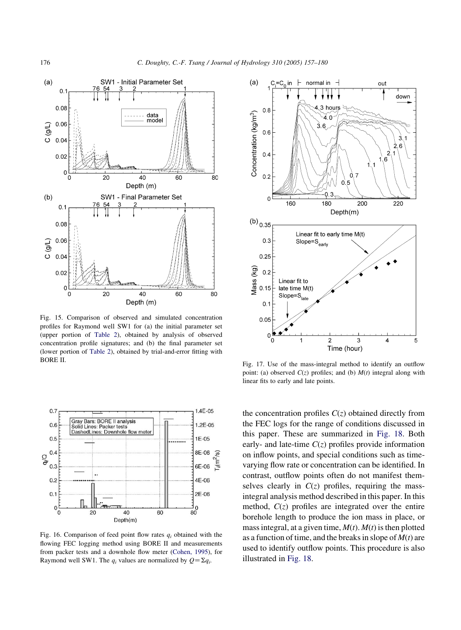<span id="page-19-0"></span>

Fig. 15. Comparison of observed and simulated concentration profiles for Raymond well SW1 for (a) the initial parameter set (upper portion of [Table 2](#page-18-0)), obtained by analysis of observed concentration profile signatures; and (b) the final parameter set (lower portion of [Table 2\)](#page-18-0), obtained by trial-and-error fitting with BORE II.



Fig. 16. Comparison of feed point flow rates  $q_i$  obtained with the flowing FEC logging method using BORE II and measurements from packer tests and a downhole flow meter ([Cohen, 1995\)](#page-22-0), for Raymond well SW1. The  $q_i$  values are normalized by  $Q = \sum q_i$ .



Fig. 17. Use of the mass-integral method to identify an outflow point: (a) observed  $C(z)$  profiles; and (b)  $M(t)$  integral along with linear fits to early and late points.

the concentration profiles  $C(z)$  obtained directly from the FEC logs for the range of conditions discussed in this paper. These are summarized in [Fig. 18](#page-20-0). Both early- and late-time  $C(z)$  profiles provide information on inflow points, and special conditions such as timevarying flow rate or concentration can be identified. In contrast, outflow points often do not manifest themselves clearly in  $C(z)$  profiles, requiring the massintegral analysis method described in this paper. In this method,  $C(z)$  profiles are integrated over the entire borehole length to produce the ion mass in place, or mass integral, at a given time,  $M(t)$ .  $M(t)$  is then plotted as a function of time, and the breaks in slope of  $M(t)$  are used to identify outflow points. This procedure is also illustrated in [Fig. 18.](#page-20-0)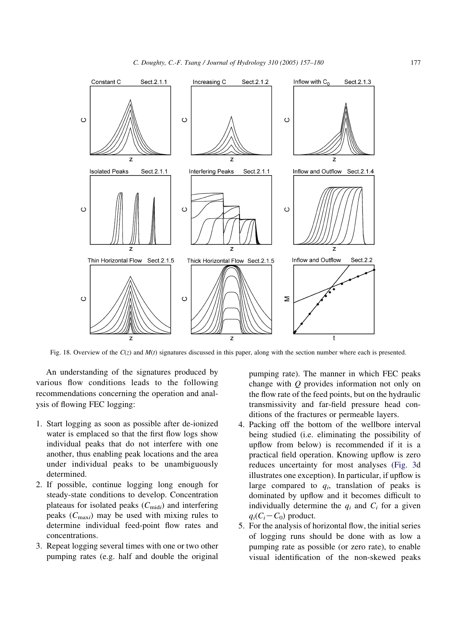<span id="page-20-0"></span>

Fig. 18. Overview of the  $C(z)$  and  $M(t)$  signatures discussed in this paper, along with the section number where each is presented.

An understanding of the signatures produced by various flow conditions leads to the following recommendations concerning the operation and analysis of flowing FEC logging:

- 1. Start logging as soon as possible after de-ionized water is emplaced so that the first flow logs show individual peaks that do not interfere with one another, thus enabling peak locations and the area under individual peaks to be unambiguously determined.
- 2. If possible, continue logging long enough for steady-state conditions to develop. Concentration plateaus for isolated peaks  $(C_{\text{mid}})$  and interfering peaks  $(C_{\text{max}})$  may be used with mixing rules to determine individual feed-point flow rates and concentrations.
- 3. Repeat logging several times with one or two other pumping rates (e.g. half and double the original

pumping rate). The manner in which FEC peaks change with Q provides information not only on the flow rate of the feed points, but on the hydraulic transmissivity and far-field pressure head conditions of the fractures or permeable layers.

- 4. Packing off the bottom of the wellbore interval being studied (i.e. eliminating the possibility of upflow from below) is recommended if it is a practical field operation. Knowing upflow is zero reduces uncertainty for most analyses ([Fig. 3d](#page-7-0) illustrates one exception). In particular, if upflow is large compared to  $q_i$ , translation of peaks is dominated by upflow and it becomes difficult to individually determine the  $q_i$  and  $C_i$  for a given  $q_i(C_i-C_0)$  product.
- 5. For the analysis of horizontal flow, the initial series of logging runs should be done with as low a pumping rate as possible (or zero rate), to enable visual identification of the non-skewed peaks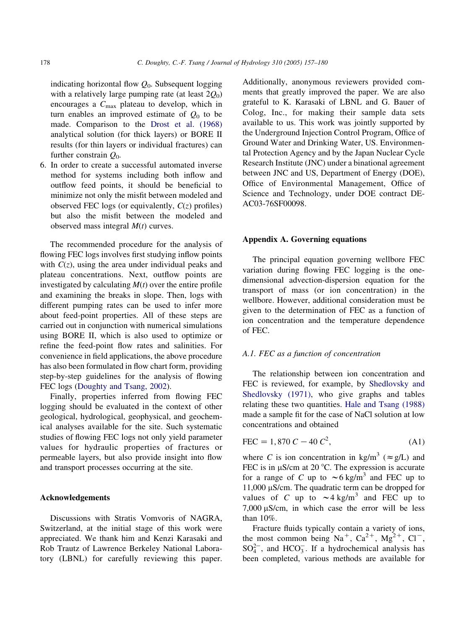indicating horizontal flow  $Q_0$ . Subsequent logging with a relatively large pumping rate (at least  $2Q_0$ ) encourages a  $C_{\text{max}}$  plateau to develop, which in turn enables an improved estimate of  $Q_0$  to be made. Comparison to the [Drost et al. \(1968\)](#page-23-0) analytical solution (for thick layers) or BORE II results (for thin layers or individual fractures) can further constrain  $Q_0$ .

6. In order to create a successful automated inverse method for systems including both inflow and outflow feed points, it should be beneficial to minimize not only the misfit between modeled and observed FEC logs (or equivalently,  $C(z)$  profiles) but also the misfit between the modeled and observed mass integral  $M(t)$  curves.

The recommended procedure for the analysis of flowing FEC logs involves first studying inflow points with  $C(z)$ , using the area under individual peaks and plateau concentrations. Next, outflow points are investigated by calculating  $M(t)$  over the entire profile and examining the breaks in slope. Then, logs with different pumping rates can be used to infer more about feed-point properties. All of these steps are carried out in conjunction with numerical simulations using BORE II, which is also used to optimize or refine the feed-point flow rates and salinities. For convenience in field applications, the above procedure has also been formulated in flow chart form, providing step-by-step guidelines for the analysis of flowing FEC logs ([Doughty and Tsang, 2002\)](#page-23-0).

Finally, properties inferred from flowing FEC logging should be evaluated in the context of other geological, hydrological, geophysical, and geochemical analyses available for the site. Such systematic studies of flowing FEC logs not only yield parameter values for hydraulic properties of fractures or permeable layers, but also provide insight into flow and transport processes occurring at the site.

#### Acknowledgements

Discussions with Stratis Vomvoris of NAGRA, Switzerland, at the initial stage of this work were appreciated. We thank him and Kenzi Karasaki and Rob Trautz of Lawrence Berkeley National Laboratory (LBNL) for carefully reviewing this paper. Additionally, anonymous reviewers provided comments that greatly improved the paper. We are also grateful to K. Karasaki of LBNL and G. Bauer of Colog, Inc., for making their sample data sets available to us. This work was jointly supported by the Underground Injection Control Program, Office of Ground Water and Drinking Water, US. Environmental Protection Agency and by the Japan Nuclear Cycle Research Institute (JNC) under a binational agreement between JNC and US, Department of Energy (DOE), Office of Environmental Management, Office of Science and Technology, under DOE contract DE-AC03-76SF00098.

#### Appendix A. Governing equations

The principal equation governing wellbore FEC variation during flowing FEC logging is the onedimensional advection-dispersion equation for the transport of mass (or ion concentration) in the wellbore. However, additional consideration must be given to the determination of FEC as a function of ion concentration and the temperature dependence of FEC.

#### A.1. FEC as a function of concentration

The relationship between ion concentration and FEC is reviewed, for example, by [Shedlovsky and](#page-23-0) [Shedlovsky \(1971\)](#page-23-0), who give graphs and tables relating these two quantities. [Hale and Tsang \(1988\)](#page-23-0) made a sample fit for the case of NaCl solution at low concentrations and obtained

$$
FEC = 1,870 C - 40 C2,
$$
 (A1)

where C is ion concentration in kg/m<sup>3</sup> ( $\approx$  g/L) and FEC is in  $\mu$ S/cm at 20 °C. The expression is accurate for a range of C up to  $\sim 6$  kg/m<sup>3</sup> and FEC up to  $11,000 \mu$ S/cm. The quadratic term can be dropped for values of C up to  $\sim$  4 kg/m<sup>3</sup> and FEC up to  $7,000 \mu$ S/cm, in which case the error will be less than 10%.

Fracture fluids typically contain a variety of ions, the most common being  $Na^+$ ,  $Ca^{2+}$ ,  $Mg^{2+}$ ,  $Cl^-$ ,  $SO_4^{2-}$ , and HCO<sub>3</sub>. If a hydrochemical analysis has been completed, various methods are available for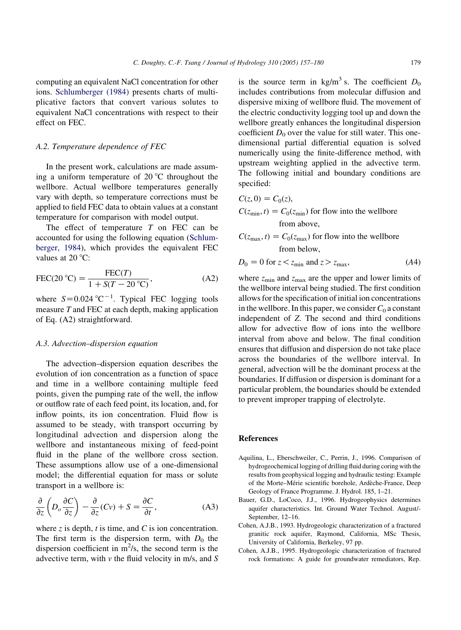<span id="page-22-0"></span>computing an equivalent NaCl concentration for other ions. [Schlumberger \(1984\)](#page-23-0) presents charts of multiplicative factors that convert various solutes to equivalent NaCl concentrations with respect to their effect on FEC.

#### A.2. Temperature dependence of FEC

In the present work, calculations are made assuming a uniform temperature of  $20^{\circ}$ C throughout the wellbore. Actual wellbore temperatures generally vary with depth, so temperature corrections must be applied to field FEC data to obtain values at a constant temperature for comparison with model output.

The effect of temperature  $T$  on FEC can be accounted for using the following equation ([Schlum](#page-23-0)[berger, 1984\)](#page-23-0), which provides the equivalent FEC values at 20 $\degree$ C:

$$
\text{FEC}(20 \text{ °C}) = \frac{\text{FEC}(T)}{1 + S(T - 20 \text{ °C})},\tag{A2}
$$

where  $S=0.024 \text{ °C}^{-1}$ . Typical FEC logging tools measure T and FEC at each depth, making application of Eq. (A2) straightforward.

#### A.3. Advection–dispersion equation

The advection–dispersion equation describes the evolution of ion concentration as a function of space and time in a wellbore containing multiple feed points, given the pumping rate of the well, the inflow or outflow rate of each feed point, its location, and, for inflow points, its ion concentration. Fluid flow is assumed to be steady, with transport occurring by longitudinal advection and dispersion along the wellbore and instantaneous mixing of feed-point fluid in the plane of the wellbore cross section. These assumptions allow use of a one-dimensional model; the differential equation for mass or solute transport in a wellbore is:

$$
\frac{\partial}{\partial z} \left( D_o \frac{\partial C}{\partial z} \right) - \frac{\partial}{\partial z} (Cv) + S = \frac{\partial C}{\partial t}, \tag{A3}
$$

where  $z$  is depth,  $t$  is time, and  $C$  is ion concentration. The first term is the dispersion term, with  $D_0$  the dispersion coefficient in  $m^2/s$ , the second term is the advective term, with  $v$  the fluid velocity in m/s, and  $S$  is the source term in kg/m<sup>3</sup> s. The coefficient  $D_0$ includes contributions from molecular diffusion and dispersive mixing of wellbore fluid. The movement of the electric conductivity logging tool up and down the wellbore greatly enhances the longitudinal dispersion coefficient  $D_0$  over the value for still water. This onedimensional partial differential equation is solved numerically using the finite-difference method, with upstream weighting applied in the advective term. The following initial and boundary conditions are specified:

$$
C(z, 0) = C_0(z),
$$
  
\n
$$
C(z_{\min}, t) = C_0(z_{\min})
$$
 for flow into the wellbore  
\nfrom above,

$$
C(z_{\text{max}}, t) = C_0(z_{\text{max}})
$$
 for flow into the well  
 bore  
from below,

$$
D_0 = 0 \text{ for } z < z_{\text{min}} \text{ and } z > z_{\text{max}},\tag{A4}
$$

where  $z_{\text{min}}$  and  $z_{\text{max}}$  are the upper and lower limits of the wellbore interval being studied. The first condition allows for the specification of initial ion concentrations in the wellbore. In this paper, we consider  $C_0$  a constant independent of Z. The second and third conditions allow for advective flow of ions into the wellbore interval from above and below. The final condition ensures that diffusion and dispersion do not take place across the boundaries of the wellbore interval. In general, advection will be the dominant process at the boundaries. If diffusion or dispersion is dominant for a particular problem, the boundaries should be extended to prevent improper trapping of electrolyte.

#### References

- Aquilina, L., Eberschweiler, C., Perrin, J., 1996. Comparison of hydrogeochemical logging of drilling fluid during coring with the results from geophysical logging and hydraulic testing: Example of the Morte-Mérie scientific borehole, Ardèche-France, Deep Geology of France Programme. J. Hydrol. 185, 1–21.
- Bauer, G.D., LoCoco, J.J., 1996. Hydrogeophysics determines aquifer characteristics. Int. Ground Water Technol. August/- September, 12–16.
- Cohen, A.J.B., 1993. Hydrogeologic characterization of a fractured granitic rock aquifer, Raymond, California, MSc Thesis, University of California, Berkeley, 97 pp.
- Cohen, A.J.B., 1995. Hydrogeologic characterization of fractured rock formations: A guide for groundwater remediators, Rep.